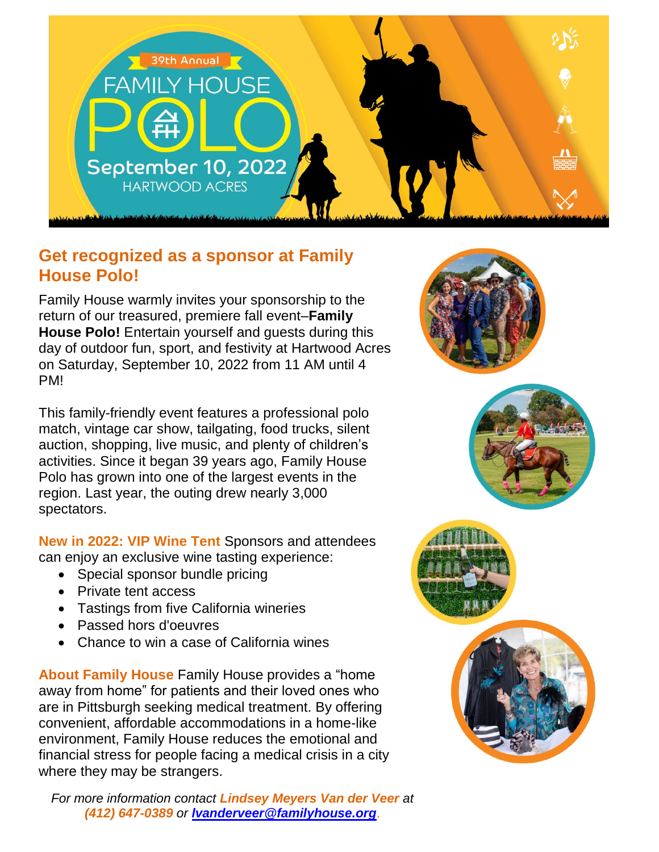

## **Get recognized as a sponsor at Family House Polo!**

Family House warmly invites your sponsorship to the return of our treasured, premiere fall event–**Family House Polo!** Entertain yourself and guests during this day of outdoor fun, sport, and festivity at Hartwood Acres on Saturday, September 10, 2022 from 11 AM until 4 PM!

This family-friendly event features a professional polo match, vintage car show, tailgating, food trucks, silent auction, shopping, live music, and plenty of children's activities. Since it began 39 years ago, Family House Polo has grown into one of the largest events in the region. Last year, the outing drew nearly 3,000 spectators.

**New in 2022: VIP Wine Tent** Sponsors and attendees can enjoy an exclusive wine tasting experience:

- Special sponsor bundle pricing
- Private tent access
- Tastings from five California wineries
- Passed hors d'oeuvres
- Chance to win a case of California wines

**About Family House** Family House provides a "home away from home" for patients and their loved ones who are in Pittsburgh seeking medical treatment. By offering convenient, affordable accommodations in a home-like environment, Family House reduces the emotional and financial stress for people facing a medical crisis in a city where they may be strangers.

*For more information contact Lindsey Meyers Van der Veer at (412) 647-0389 or [lvanderveer@familyhouse.org](mailto:lvanderveer@familyhouse.org)*.







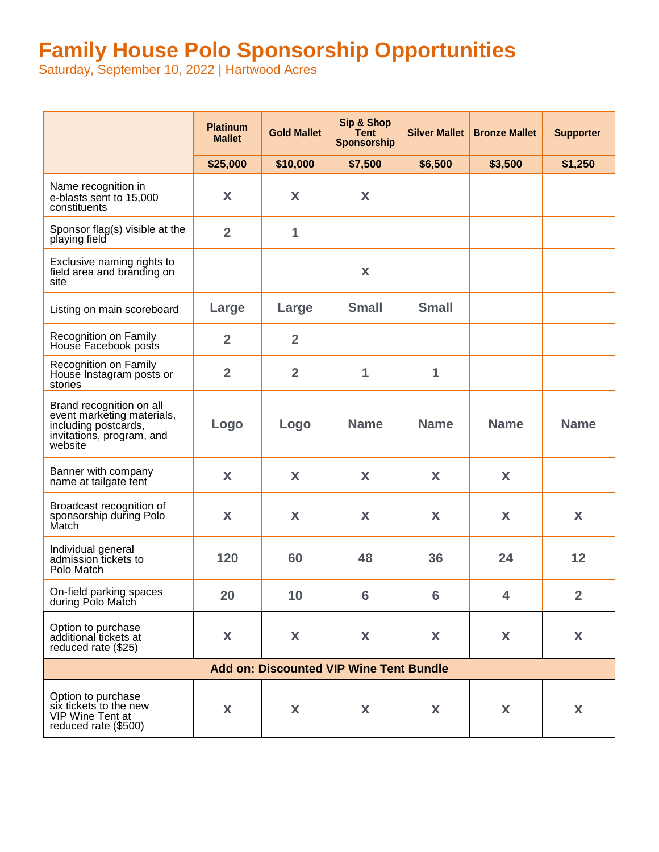# **Family House Polo Sponsorship Opportunities**

Saturday, September 10, 2022 | Hartwood Acres

|                                                                                                                        | <b>Platinum</b><br><b>Mallet</b> | <b>Gold Mallet</b> | Sip & Shop<br>Tent<br>Sponsorship | <b>Silver Mallet</b> | <b>Bronze Mallet</b> | <b>Supporter</b> |  |
|------------------------------------------------------------------------------------------------------------------------|----------------------------------|--------------------|-----------------------------------|----------------------|----------------------|------------------|--|
|                                                                                                                        | \$25,000                         | \$10,000           | \$7,500                           | \$6,500              | \$3,500              | \$1,250          |  |
| Name recognition in<br>e-blasts sent to 15,000<br>constituents                                                         | X                                | X                  | X                                 |                      |                      |                  |  |
| Sponsor flag(s) visible at the<br>playing field                                                                        | $\overline{2}$                   | 1                  |                                   |                      |                      |                  |  |
| Exclusive naming rights to<br>field area and branding on<br>site                                                       |                                  |                    | X                                 |                      |                      |                  |  |
| Listing on main scoreboard                                                                                             | Large                            | Large              | <b>Small</b>                      | <b>Small</b>         |                      |                  |  |
| Recognition on Family<br>House Facebook posts                                                                          | $\overline{2}$                   | $\overline{2}$     |                                   |                      |                      |                  |  |
| Recognition on Family<br>House Instagram posts or<br>stories                                                           | $\overline{2}$                   | $\overline{2}$     | 1                                 | 1                    |                      |                  |  |
| Brand recognition on all<br>event marketing materials,<br>including postcards,<br>invitations, program, and<br>website | Logo                             | Logo               | <b>Name</b>                       | <b>Name</b>          | <b>Name</b>          | <b>Name</b>      |  |
| Banner with company<br>name at tailgate tent                                                                           | X                                | X                  | X                                 | X                    | X                    |                  |  |
| Broadcast recognition of<br>sponsorship during Polo<br>Match                                                           | X                                | X                  | X                                 | X                    | X                    | X                |  |
| Individual general<br>admission tickets to<br>Polo Match                                                               | 120                              | 60                 | 48                                | 36                   | 24                   | 12               |  |
| On-field parking spaces<br>during Polo Match                                                                           | 20                               | 10                 | 6                                 | 6                    | 4                    | $\overline{2}$   |  |
| Option to purchase<br>additional tickets at<br>reduced rate (\$25)                                                     | X                                | X                  | X                                 | X                    | X                    | X                |  |
| <b>Add on: Discounted VIP Wine Tent Bundle</b>                                                                         |                                  |                    |                                   |                      |                      |                  |  |
| Option to purchase<br>six tickets to the new<br>VIP Wine Tent at<br>reduced rate (\$500)                               | X                                | X                  | X                                 | X                    | X                    | X                |  |